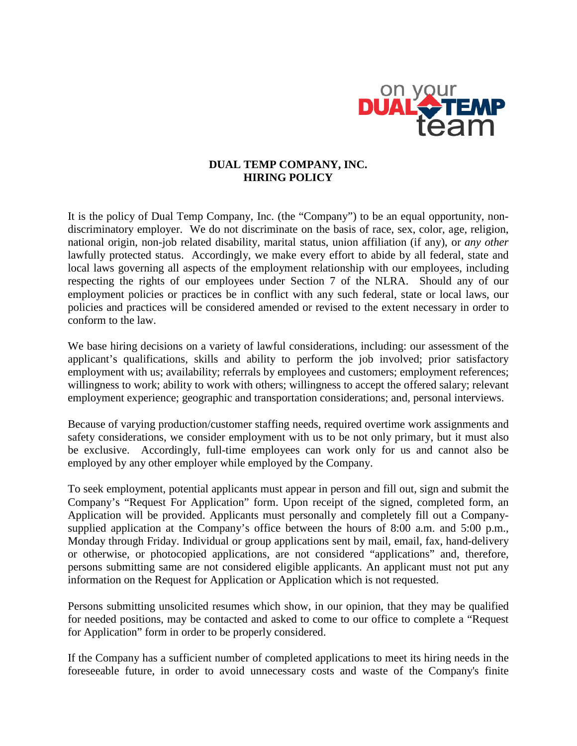

## **DUAL TEMP COMPANY, INC. HIRING POLICY**

It is the policy of Dual Temp Company, Inc. (the "Company") to be an equal opportunity, nondiscriminatory employer. We do not discriminate on the basis of race, sex, color, age, religion, national origin, non-job related disability, marital status, union affiliation (if any), or *any other* lawfully protected status. Accordingly, we make every effort to abide by all federal, state and local laws governing all aspects of the employment relationship with our employees, including respecting the rights of our employees under Section 7 of the NLRA. Should any of our employment policies or practices be in conflict with any such federal, state or local laws, our policies and practices will be considered amended or revised to the extent necessary in order to conform to the law.

We base hiring decisions on a variety of lawful considerations, including: our assessment of the applicant's qualifications, skills and ability to perform the job involved; prior satisfactory employment with us; availability; referrals by employees and customers; employment references; willingness to work; ability to work with others; willingness to accept the offered salary; relevant employment experience; geographic and transportation considerations; and, personal interviews.

Because of varying production/customer staffing needs, required overtime work assignments and safety considerations, we consider employment with us to be not only primary, but it must also be exclusive. Accordingly, full-time employees can work only for us and cannot also be employed by any other employer while employed by the Company.

To seek employment, potential applicants must appear in person and fill out, sign and submit the Company's "Request For Application" form. Upon receipt of the signed, completed form, an Application will be provided. Applicants must personally and completely fill out a Companysupplied application at the Company's office between the hours of 8:00 a.m. and 5:00 p.m., Monday through Friday. Individual or group applications sent by mail, email, fax, hand-delivery or otherwise, or photocopied applications, are not considered "applications" and, therefore, persons submitting same are not considered eligible applicants. An applicant must not put any information on the Request for Application or Application which is not requested.

Persons submitting unsolicited resumes which show, in our opinion, that they may be qualified for needed positions, may be contacted and asked to come to our office to complete a "Request for Application" form in order to be properly considered.

If the Company has a sufficient number of completed applications to meet its hiring needs in the foreseeable future, in order to avoid unnecessary costs and waste of the Company's finite